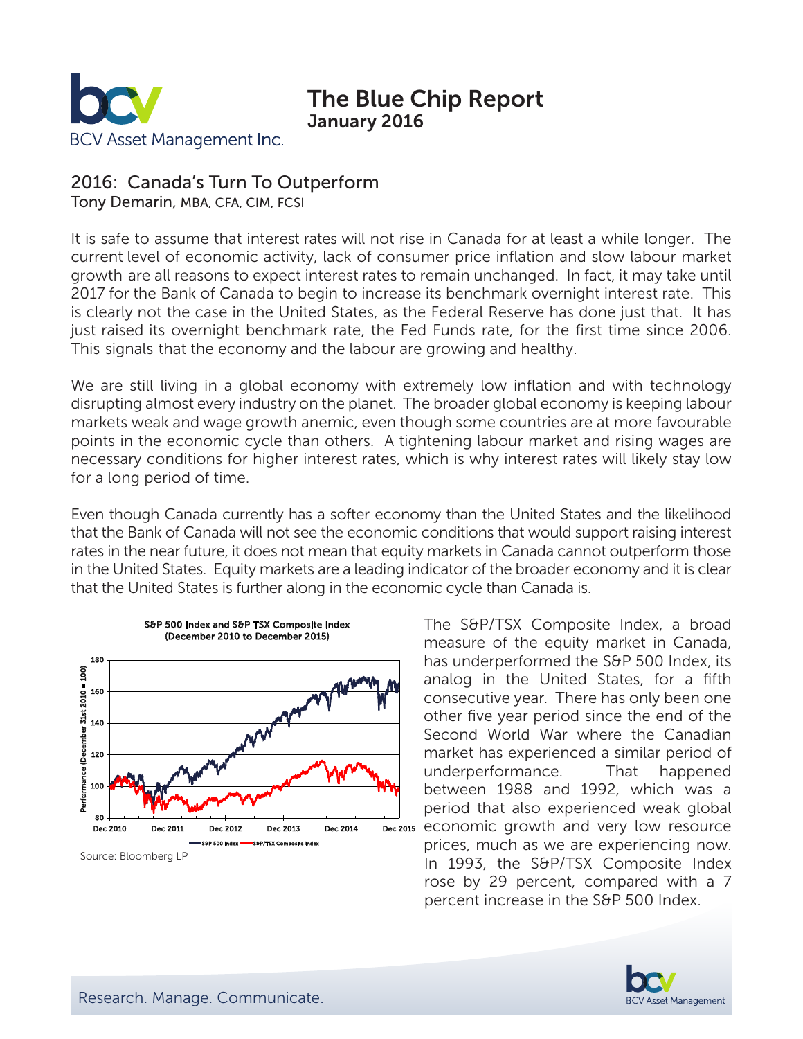

# The Blue Chip Report January 2016

### 2016: Canada's Turn To Outperform

Tony Demarin, MBA, CFA, CIM, FCSI

It is safe to assume that interest rates will not rise in Canada for at least a while longer. The current level of economic activity, lack of consumer price inflation and slow labour market growth are all reasons to expect interest rates to remain unchanged. In fact, it may take until 2017 for the Bank of Canada to begin to increase its benchmark overnight interest rate. This is clearly not the case in the United States, as the Federal Reserve has done just that. It has just raised its overnight benchmark rate, the Fed Funds rate, for the first time since 2006. This signals that the economy and the labour are growing and healthy.

We are still living in a global economy with extremely low inflation and with technology disrupting almost every industry on the planet. The broader global economy is keeping labour markets weak and wage growth anemic, even though some countries are at more favourable points in the economic cycle than others. A tightening labour market and rising wages are necessary conditions for higher interest rates, which is why interest rates will likely stay low for a long period of time.

Even though Canada currently has a softer economy than the United States and the likelihood that the Bank of Canada will not see the economic conditions that would support raising interest rates in the near future, it does not mean that equity markets in Canada cannot outperform those in the United States. Equity markets are a leading indicator of the broader economy and it is clear that the United States is further along in the economic cycle than Canada is.



The S&P/TSX Composite Index, a broad measure of the equity market in Canada, has underperformed the S&P 500 Index, its analog in the United States, for a fifth consecutive year. There has only been one other five year period since the end of the Second World War where the Canadian market has experienced a similar period of underperformance. That happened between 1988 and 1992, which was a period that also experienced weak global prices, much as we are experiencing now. In 1993, the S&P/TSX Composite Index rose by 29 percent, compared with a 7 percent increase in the S&P 500 Index.

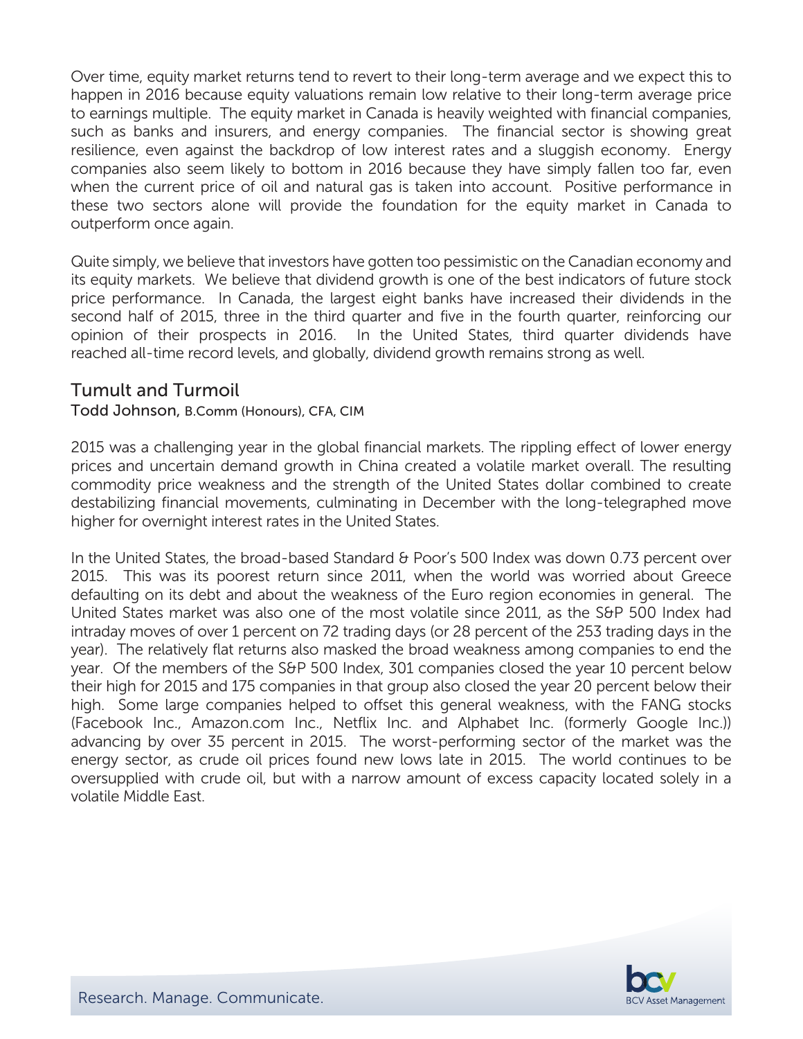Over time, equity market returns tend to revert to their long-term average and we expect this to happen in 2016 because equity valuations remain low relative to their long-term average price to earnings multiple. The equity market in Canada is heavily weighted with financial companies, such as banks and insurers, and energy companies. The financial sector is showing great resilience, even against the backdrop of low interest rates and a sluggish economy. Energy companies also seem likely to bottom in 2016 because they have simply fallen too far, even when the current price of oil and natural gas is taken into account. Positive performance in these two sectors alone will provide the foundation for the equity market in Canada to outperform once again.

Quite simply, we believe that investors have gotten too pessimistic on the Canadian economy and its equity markets. We believe that dividend growth is one of the best indicators of future stock price performance. In Canada, the largest eight banks have increased their dividends in the second half of 2015, three in the third quarter and five in the fourth quarter, reinforcing our opinion of their prospects in 2016. In the United States, third quarter dividends have reached all-time record levels, and globally, dividend growth remains strong as well.

### Tumult and Turmoil

#### Todd Johnson, B.Comm (Honours), CFA, CIM

2015 was a challenging year in the global financial markets. The rippling effect of lower energy prices and uncertain demand growth in China created a volatile market overall. The resulting commodity price weakness and the strength of the United States dollar combined to create destabilizing financial movements, culminating in December with the long-telegraphed move higher for overnight interest rates in the United States.

In the United States, the broad-based Standard & Poor's 500 Index was down 0.73 percent over 2015. This was its poorest return since 2011, when the world was worried about Greece defaulting on its debt and about the weakness of the Euro region economies in general. The United States market was also one of the most volatile since 2011, as the S&P 500 Index had intraday moves of over 1 percent on 72 trading days (or 28 percent of the 253 trading days in the year). The relatively flat returns also masked the broad weakness among companies to end the year. Of the members of the S&P 500 Index, 301 companies closed the year 10 percent below their high for 2015 and 175 companies in that group also closed the year 20 percent below their high. Some large companies helped to offset this general weakness, with the FANG stocks (Facebook Inc., Amazon.com Inc., Netflix Inc. and Alphabet Inc. (formerly Google Inc.)) advancing by over 35 percent in 2015. The worst-performing sector of the market was the energy sector, as crude oil prices found new lows late in 2015. The world continues to be oversupplied with crude oil, but with a narrow amount of excess capacity located solely in a volatile Middle East.

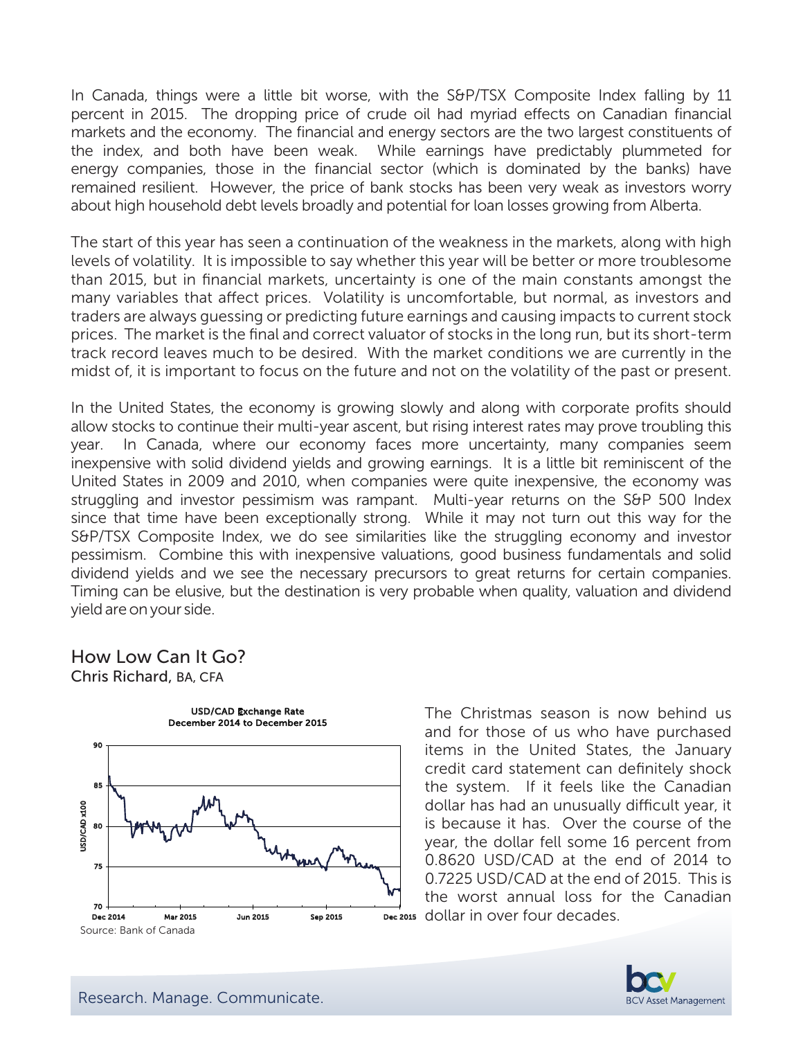In Canada, things were a little bit worse, with the S&P/TSX Composite Index falling by 11 percent in 2015. The dropping price of crude oil had myriad effects on Canadian financial markets and the economy. The financial and energy sectors are the two largest constituents of the index, and both have been weak. While earnings have predictably plummeted for energy companies, those in the financial sector (which is dominated by the banks) have remained resilient. However, the price of bank stocks has been very weak as investors worry about high household debt levels broadly and potential for loan losses growing from Alberta.

The start of this year has seen a continuation of the weakness in the markets, along with high levels of volatility. It is impossible to say whether this year will be better or more troublesome than 2015, but in financial markets, uncertainty is one of the main constants amongst the many variables that affect prices. Volatility is uncomfortable, but normal, as investors and traders are always guessing or predicting future earnings and causing impacts to current stock prices. The market is the final and correct valuator of stocks in the long run, but its short-term track record leaves much to be desired. With the market conditions we are currently in the midst of, it is important to focus on the future and not on the volatility of the past or present.

In the United States, the economy is growing slowly and along with corporate profits should allow stocks to continue their multi-year ascent, but rising interest rates may prove troubling this year. In Canada, where our economy faces more uncertainty, many companies seem inexpensive with solid dividend yields and growing earnings. It is a little bit reminiscent of the United States in 2009 and 2010, when companies were quite inexpensive, the economy was struggling and investor pessimism was rampant. Multi-year returns on the S&P 500 Index since that time have been exceptionally strong. While it may not turn out this way for the S&P/TSX Composite Index, we do see similarities like the struggling economy and investor pessimism. Combine this with inexpensive valuations, good business fundamentals and solid dividend yields and we see the necessary precursors to great returns for certain companies. Timing can be elusive, but the destination is very probable when quality, valuation and dividend yield are on your side.

#### How Low Can It Go? Chris Richard, BA, CFA



The Christmas season is now behind us and for those of us who have purchased items in the United States, the January credit card statement can definitely shock the system. If it feels like the Canadian dollar has had an unusually difficult year, it is because it has. Over the course of the year, the dollar fell some 16 percent from 0.8620 USD/CAD at the end of 2014 to 0.7225 USD/CAD at the end of 2015. This is the worst annual loss for the Canadian Dec 2015 dollar in over four decades.

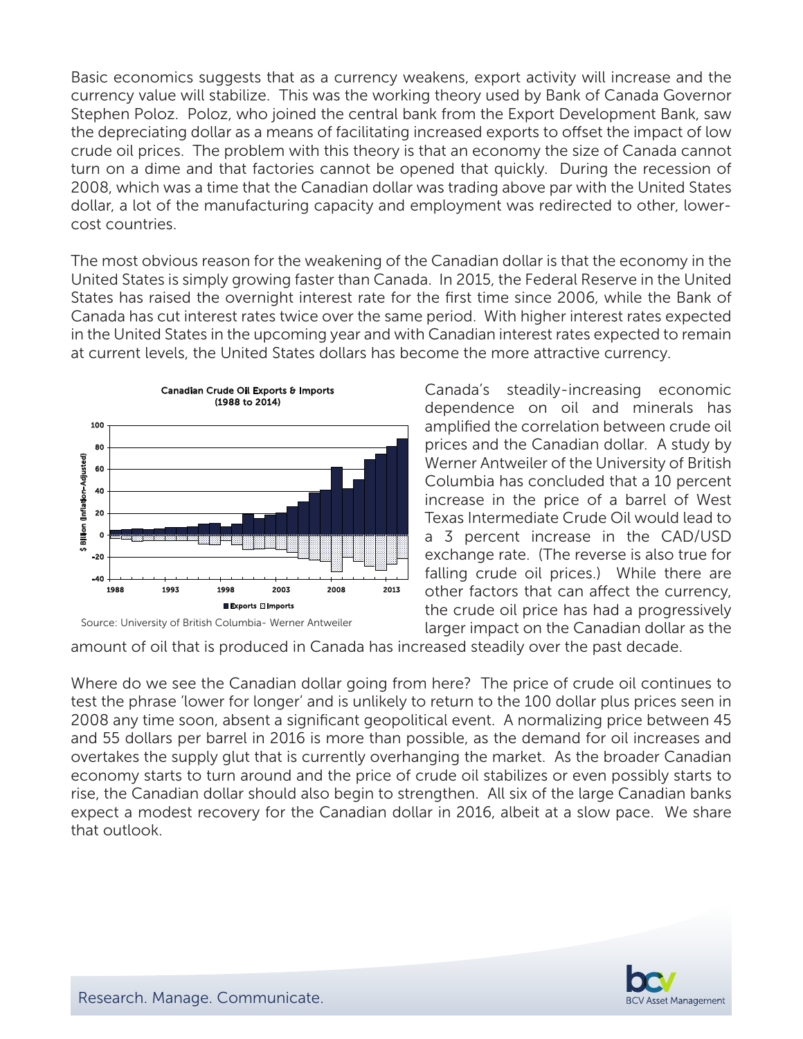Basic economics suggests that as a currency weakens, export activity will increase and the currency value will stabilize. This was the working theory used by Bank of Canada Governor Stephen Poloz. Poloz, who joined the central bank from the Export Development Bank, saw the depreciating dollar as a means of facilitating increased exports to offset the impact of low crude oil prices. The problem with this theory is that an economy the size of Canada cannot turn on a dime and that factories cannot be opened that quickly. During the recession of 2008, which was a time that the Canadian dollar was trading above par with the United States dollar, a lot of the manufacturing capacity and employment was redirected to other, lowercost countries.

The most obvious reason for the weakening of the Canadian dollar is that the economy in the United States is simply growing faster than Canada. In 2015, the Federal Reserve in the United States has raised the overnight interest rate for the first time since 2006, while the Bank of Canada has cut interest rates twice over the same period. With higher interest rates expected in the United States in the upcoming year and with Canadian interest rates expected to remain at current levels, the United States dollars has become the more attractive currency.





Canada's steadily-increasing economic dependence on oil and minerals has amplified the correlation between crude oil prices and the Canadian dollar. A study by Werner Antweiler of the University of British Columbia has concluded that a 10 percent increase in the price of a barrel of West Texas Intermediate Crude Oil would lead to a 3 percent increase in the CAD/USD exchange rate. (The reverse is also true for falling crude oil prices.) While there are other factors that can affect the currency, the crude oil price has had a progressively larger impact on the Canadian dollar as the

amount of oil that is produced in Canada has increased steadily over the past decade.

Where do we see the Canadian dollar going from here? The price of crude oil continues to test the phrase 'lower for longer' and is unlikely to return to the 100 dollar plus prices seen in 2008 any time soon, absent a significant geopolitical event. A normalizing price between 45 and 55 dollars per barrel in 2016 is more than possible, as the demand for oil increases and overtakes the supply glut that is currently overhanging the market. As the broader Canadian economy starts to turn around and the price of crude oil stabilizes or even possibly starts to rise, the Canadian dollar should also begin to strengthen. All six of the large Canadian banks expect a modest recovery for the Canadian dollar in 2016, albeit at a slow pace. We share that outlook.